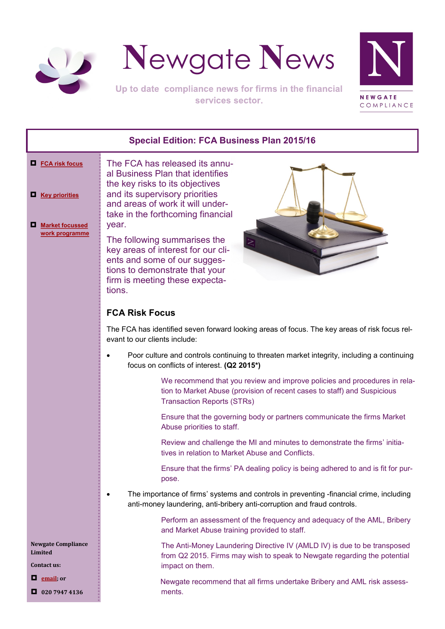<span id="page-0-0"></span>



Up to date compliance news for firms in the financial services sector.



# **Special Edition: FCA Business Plan 2015/16**

#### **[FCA risk focus](#page-0-0)**

**[Key priorities](#page-1-0)**

 **[Market focussed](#page-2-0)  [work programme](#page-2-0)** al Business Plan that identifies the key risks to its objectives and its supervisory priorities and areas of work it will undertake in the forthcoming financial year.

The following summarises the key areas of interest for our clients and some of our suggestions to demonstrate that your firm is meeting these expectations.



# **FCA Risk Focus**

The FCA has identified seven forward looking areas of focus. The key areas of risk focus relevant to our clients include:

 Poor culture and controls continuing to threaten market integrity, including a continuing focus on conflicts of interest. **(Q2 2015\*)**

> We recommend that you review and improve policies and procedures in relation to Market Abuse (provision of recent cases to staff) and Suspicious Transaction Reports (STRs)

Ensure that the governing body or partners communicate the firms Market Abuse priorities to staff.

Review and challenge the MI and minutes to demonstrate the firms' initiatives in relation to Market Abuse and Conflicts.

Ensure that the firms' PA dealing policy is being adhered to and is fit for purpose.

 The importance of firms' systems and controls in preventing -financial crime, including anti-money laundering, anti-bribery anti-corruption and fraud controls.

> Perform an assessment of the frequency and adequacy of the AML, Bribery and Market Abuse training provided to staff.

> The Anti-Money Laundering Directive IV (AMLD IV) is due to be transposed from Q2 2015. Firms may wish to speak to Newgate regarding the potential impact on them.

> Newgate recommend that all firms undertake Bribery and AML risk assessments.

**Newgate Compliance Limited**

**Contact us:**

**[email;](mailto:info@newgatecompliance.com?subject=Email%20from%20Newgate%20News) or**

**020 7947 4136**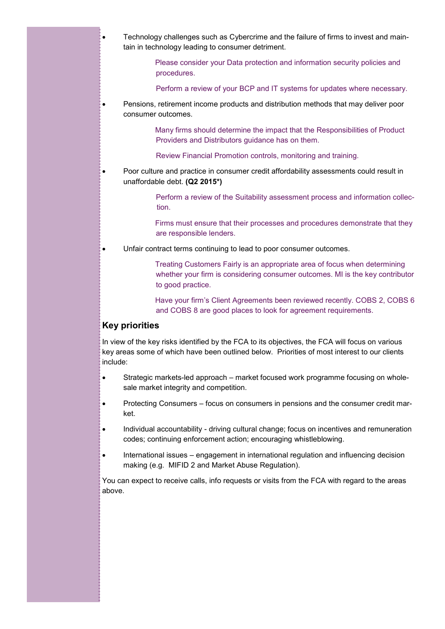- <span id="page-1-0"></span> Technology challenges such as Cybercrime and the failure of firms to invest and maintain in technology leading to consumer detriment.
	- Please consider your Data protection and information security policies and procedures.
	- Perform a review of your BCP and IT systems for updates where necessary.
- Pensions, retirement income products and distribution methods that may deliver poor consumer outcomes.
	- Many firms should determine the impact that the Responsibilities of Product Providers and Distributors guidance has on them.
	- Review Financial Promotion controls, monitoring and training.
- Poor culture and practice in consumer credit affordability assessments could result in unaffordable debt. **(Q2 2015\*)**

Perform a review of the Suitability assessment process and information collection.

Firms must ensure that their processes and procedures demonstrate that they are responsible lenders.

Unfair contract terms continuing to lead to poor consumer outcomes.

Treating Customers Fairly is an appropriate area of focus when determining whether your firm is considering consumer outcomes. MI is the key contributor to good practice.

Have your firm's Client Agreements been reviewed recently. COBS 2, COBS 6 and COBS 8 are good places to look for agreement requirements.

## **Key priorities**

In view of the key risks identified by the FCA to its objectives, the FCA will focus on various key areas some of which have been outlined below. Priorities of most interest to our clients include:

- Strategic markets-led approach market focused work programme focusing on wholesale market integrity and competition.
- Protecting Consumers focus on consumers in pensions and the consumer credit market.
- Individual accountability driving cultural change; focus on incentives and remuneration codes; continuing enforcement action; encouraging whistleblowing.
- International issues engagement in international regulation and influencing decision making (e.g. MIFID 2 and Market Abuse Regulation).

You can expect to receive calls, info requests or visits from the FCA with regard to the areas above.